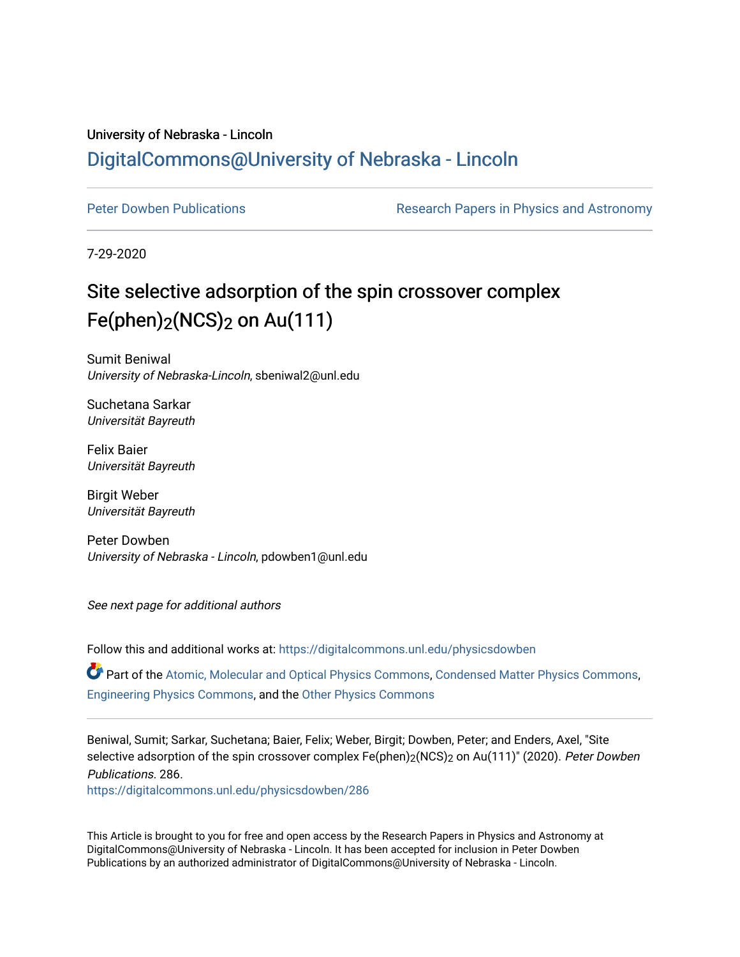### University of Nebraska - Lincoln [DigitalCommons@University of Nebraska - Lincoln](https://digitalcommons.unl.edu/)

[Peter Dowben Publications](https://digitalcommons.unl.edu/physicsdowben) **Research Papers in Physics and Astronomy** 

7-29-2020

## Site selective adsorption of the spin crossover complex Fe(phen)<sub>2</sub>(NCS)<sub>2</sub> on Au(111)

Sumit Beniwal University of Nebraska-Lincoln, sbeniwal2@unl.edu

Suchetana Sarkar Universität Bayreuth

Felix Baier Universität Bayreuth

Birgit Weber Universität Bayreuth

Peter Dowben University of Nebraska - Lincoln, pdowben1@unl.edu

See next page for additional authors

Follow this and additional works at: [https://digitalcommons.unl.edu/physicsdowben](https://digitalcommons.unl.edu/physicsdowben?utm_source=digitalcommons.unl.edu%2Fphysicsdowben%2F286&utm_medium=PDF&utm_campaign=PDFCoverPages) 

Part of the [Atomic, Molecular and Optical Physics Commons,](http://network.bepress.com/hgg/discipline/195?utm_source=digitalcommons.unl.edu%2Fphysicsdowben%2F286&utm_medium=PDF&utm_campaign=PDFCoverPages) [Condensed Matter Physics Commons](http://network.bepress.com/hgg/discipline/197?utm_source=digitalcommons.unl.edu%2Fphysicsdowben%2F286&utm_medium=PDF&utm_campaign=PDFCoverPages), [Engineering Physics Commons,](http://network.bepress.com/hgg/discipline/200?utm_source=digitalcommons.unl.edu%2Fphysicsdowben%2F286&utm_medium=PDF&utm_campaign=PDFCoverPages) and the [Other Physics Commons](http://network.bepress.com/hgg/discipline/207?utm_source=digitalcommons.unl.edu%2Fphysicsdowben%2F286&utm_medium=PDF&utm_campaign=PDFCoverPages) 

Beniwal, Sumit; Sarkar, Suchetana; Baier, Felix; Weber, Birgit; Dowben, Peter; and Enders, Axel, "Site selective adsorption of the spin crossover complex Fe(phen)<sub>2</sub>(NCS)<sub>2</sub> on Au(111)" (2020). Peter Dowben Publications. 286.

[https://digitalcommons.unl.edu/physicsdowben/286](https://digitalcommons.unl.edu/physicsdowben/286?utm_source=digitalcommons.unl.edu%2Fphysicsdowben%2F286&utm_medium=PDF&utm_campaign=PDFCoverPages) 

This Article is brought to you for free and open access by the Research Papers in Physics and Astronomy at DigitalCommons@University of Nebraska - Lincoln. It has been accepted for inclusion in Peter Dowben Publications by an authorized administrator of DigitalCommons@University of Nebraska - Lincoln.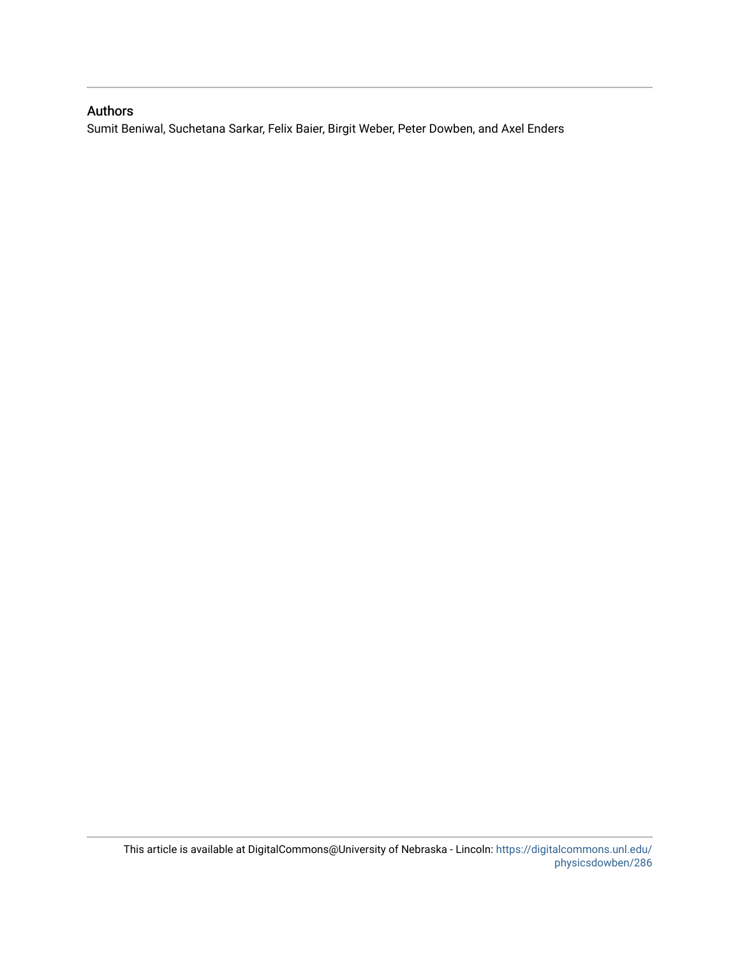#### Authors

Sumit Beniwal, Suchetana Sarkar, Felix Baier, Birgit Weber, Peter Dowben, and Axel Enders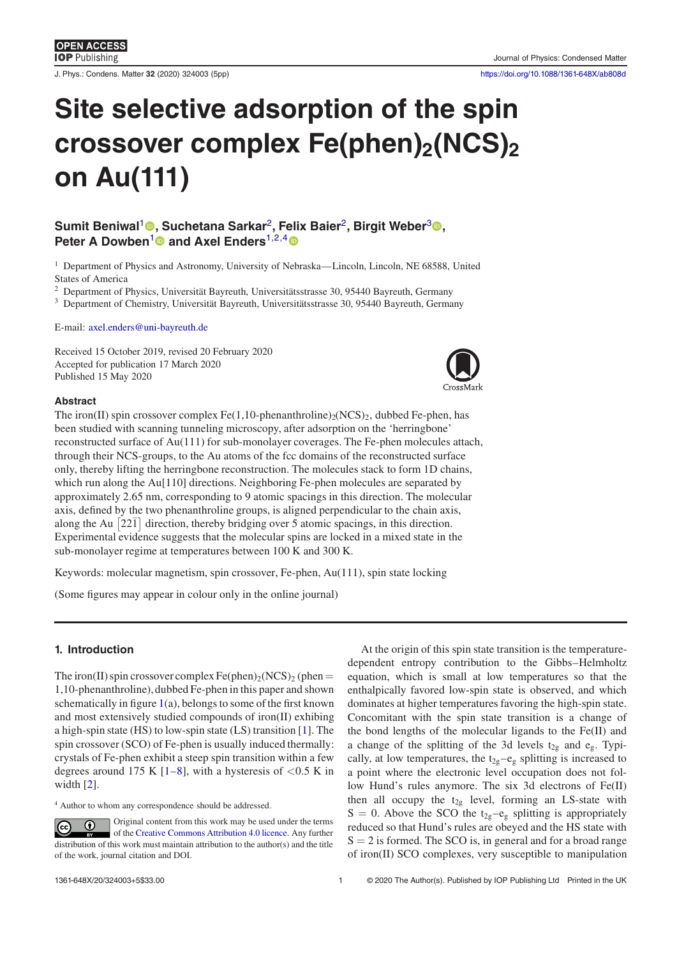**IOP** Publishing

J. Phys.: Condens. Matter **32** (2020) 324003 (5pp) <https://doi.org/10.1088/1361-648X/ab808d>

# **Site selective adsorption of the spin crossover complex Fe(phen)2(NCS)<sup>2</sup> on Au(111)**

#### ${\sf Sumit}\; {\sf Beniwal^1}$  ${\sf Sumit}\; {\sf Beniwal^1}$  ${\sf Sumit}\; {\sf Beniwal^1}$ ®[,](https://orcid.org/0000-0002-9861-9447) Suchetana Sarkar<sup>[2](#page-2-0)</sup>, Felix Baier<sup>2</sup>, Birgit Weber $^3$  $^3$ ®, **Peter A Dowben<sup>[1](#page-2-0)</sup> and Axel Enders<sup>[1,2,](#page-2-0)[4](#page-2-1)</sup> <sup>o</sup>**

<sup>1</sup> Department of Physics and Astronomy, University of Nebraska—Lincoln, Lincoln, NE 68588, United States of America

<sup>2</sup> Department of Physics, Universität Bayreuth, Universitätsstrasse 30, 95440 Bayreuth, Germany

<sup>3</sup> Department of Chemistry, Universität Bayreuth, Universitätsstrasse 30, 95440 Bayreuth, Germany

E-mail: [axel.enders@uni-bayreuth.de](mailto:axel.enders@uni-bayreuth.de)

Received 15 October 2019, revised 20 February 2020 Accepted for publication 17 March 2020 Published 15 May 2020

<span id="page-2-0"></span>

#### **Abstract**

The iron(II) spin crossover complex Fe(1,10-phenanthroline)<sub>2</sub>(NCS)<sub>2</sub>, dubbed Fe-phen, has been studied with scanning tunneling microscopy, after adsorption on the 'herringbone' reconstructed surface of Au(111) for sub-monolayer coverages. The Fe-phen molecules attach, through their NCS-groups, to the Au atoms of the fcc domains of the reconstructed surface only, thereby lifting the herringbone reconstruction. The molecules stack to form 1D chains, which run along the Au<sup>[110]</sup> directions. Neighboring Fe-phen molecules are separated by approximately 2.65 nm, corresponding to 9 atomic spacings in this direction. The molecular axis, defined by the two phenanthroline groups, is aligned perpendicular to the chain axis, along the Au  $\left[22\overline{1}\right]$  direction, thereby bridging over 5 atomic spacings, in this direction. Experimental evidence suggests that the molecular spins are locked in a mixed state in the sub-monolayer regime at temperatures between 100 K and 300 K.

Keywords: molecular magnetism, spin crossover, Fe-phen, Au(111), spin state locking

(Some figures may appear in colour only in the online journal)

#### <span id="page-2-1"></span>**1. Introduction**

The iron(II) spin crossover complex Fe(phen)<sub>2</sub>(NCS)<sub>2</sub> (phen = 1,10-phenanthroline), dubbed Fe-phen in this paper and shown schematically in figure  $1(a)$  $1(a)$ , belongs to some of the first known and most extensively studied compounds of iron(II) exhibing a high-spin state (HS) to low-spin state (LS) transition [\[1\]](#page-5-0). The spin crossover (SCO) of Fe-phen is usually induced thermally: crystals of Fe-phen exhibit a steep spin transition within a few degrees around 175 K  $[1-8]$  $[1-8]$ , with a hysteresis of  $\langle 0.5 \text{ K} \rangle$  in width [\[2\]](#page-5-2).

<sup>4</sup> Author to whom any correspondence should be addressed.

Original content from this work may be used under the terms  $\left($ of the [Creative Commons Attribution 4.0 licence.](https://creativecommons.org/licenses/by/4.0) Any further distribution of this work must maintain attribution to the author(s) and the title of the work, journal citation and DOI.

At the origin of this spin state transition is the temperaturedependent entropy contribution to the Gibbs–Helmholtz equation, which is small at low temperatures so that the enthalpically favored low-spin state is observed, and which dominates at higher temperatures favoring the high-spin state. Concomitant with the spin state transition is a change of the bond lengths of the molecular ligands to the Fe(II) and a change of the splitting of the 3d levels  $t_{2g}$  and  $e_g$ . Typically, at low temperatures, the  $t_{2g}-e_g$  splitting is increased to a point where the electronic level occupation does not follow Hund's rules anymore. The six 3d electrons of Fe(II) then all occupy the  $t_{2g}$  level, forming an LS-state with  $S = 0$ . Above the SCO the t<sub>2g</sub>-e<sub>g</sub> splitting is appropriately reduced so that Hund's rules are obeyed and the HS state with  $S = 2$  is formed. The SCO is, in general and for a broad range of iron(II) SCO complexes, very susceptible to manipulation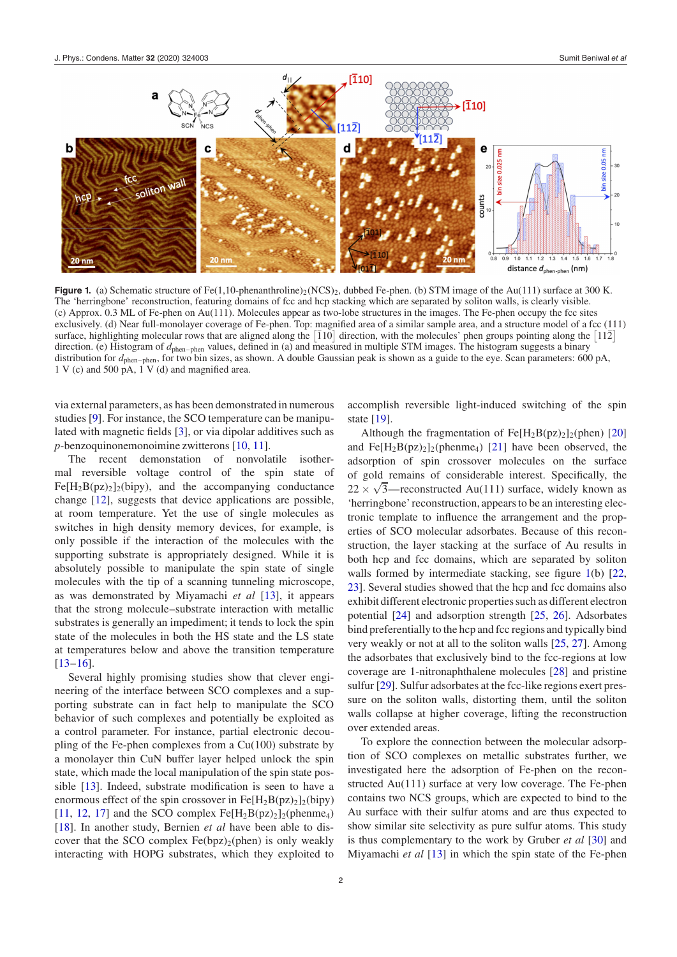<span id="page-3-0"></span>

**Figure 1.** (a) Schematic structure of Fe(1,10-phenanthroline)<sub>2</sub> (NCS)<sub>2</sub>, dubbed Fe-phen. (b) STM image of the Au(111) surface at 300 K. The 'herringbone' reconstruction, featuring domains of fcc and hcp stacking which are separated by soliton walls, is clearly visible. (c) Approx. 0.3 ML of Fe-phen on Au(111). Molecules appear as two-lobe structures in the images. The Fe-phen occupy the fcc sites exclusively. (d) Near full-monolayer coverage of Fe-phen. Top: magnied area of a similar sample area, and a structure model of a fcc (111) surface, highlighting molecular rows that are aligned along the  $\overline{110}$  direction, with the molecules' phen groups pointing along the  $\overline{112}$ direction. (e) Histogram of  $d_{\text{phen-phen}}$  values, defined in (a) and measured in multiple STM images. The histogram suggests a binary distribution for  $d_{\text{phen-phen}}$ , for two bin sizes, as shown. A double Gaussian peak is shown as a guide to the eye. Scan parameters: 600 pA,  $1 \text{ V}$  (c) and 500 pA,  $1 \text{ V}$  (d) and magnified area.

via external parameters, as has been demonstrated in numerous studies [\[9\]](#page-5-3). For instance, the SCO temperature can be manipulated with magnetic fields  $[3]$ , or via dipolar additives such as *p*-benzoquinonemonoimine zwitterons [\[10,](#page-5-5) [11\]](#page-5-6).

The recent demonstation of nonvolatile isothermal reversible voltage control of the spin state of  $Fe[H<sub>2</sub>B(pz)<sub>2</sub>]$ <sub>2</sub>(bipy), and the accompanying conductance change [\[12\]](#page-5-7), suggests that device applications are possible, at room temperature. Yet the use of single molecules as switches in high density memory devices, for example, is only possible if the interaction of the molecules with the supporting substrate is appropriately designed. While it is absolutely possible to manipulate the spin state of single molecules with the tip of a scanning tunneling microscope, as was demonstrated by Miyamachi *et al* [\[13\]](#page-5-8), it appears that the strong molecule–substrate interaction with metallic substrates is generally an impediment; it tends to lock the spin state of the molecules in both the HS state and the LS state at temperatures below and above the transition temperature  $[13-16]$  $[13-16]$ .

Several highly promising studies show that clever engineering of the interface between SCO complexes and a supporting substrate can in fact help to manipulate the SCO behavior of such complexes and potentially be exploited as a control parameter. For instance, partial electronic decoupling of the Fe-phen complexes from a Cu(100) substrate by a monolayer thin CuN buffer layer helped unlock the spin state, which made the local manipulation of the spin state possible  $[13]$ . Indeed, substrate modification is seen to have a enormous effect of the spin crossover in  $Fe[H<sub>2</sub>B(pz)<sub>2</sub>]_{2}(bipy)$ [\[11,](#page-5-6) [12,](#page-5-7) [17\]](#page-5-10) and the SCO complex  $Fe[H_2B(pz)_2]_2(phenme_4)$ [\[18\]](#page-5-11). In another study, Bernien *et al* have been able to discover that the SCO complex  $Fe(bpz)_{2}(phen)$  is only weakly interacting with HOPG substrates, which they exploited to accomplish reversible light-induced switching of the spin state [\[19\]](#page-5-12).

Although the fragmentation of  $Fe[H<sub>2</sub>B(pz)<sub>2</sub>]_{2}$ (phen) [\[20\]](#page-6-0) and  $Fe[H<sub>2</sub>B(pz)<sub>2</sub>]<sub>2</sub>(phenme<sub>4</sub>)$  [\[21\]](#page-6-1) have been observed, the adsorption of spin crossover molecules on the surface of gold remains of considerable interest. Specifically, the  $22 \times \sqrt{3}$ —reconstructed Au(111) surface, widely known as 'herringbone' reconstruction, appears to be an interesting electronic template to influence the arrangement and the properties of SCO molecular adsorbates. Because of this reconstruction, the layer stacking at the surface of Au results in both hcp and fcc domains, which are separated by soliton walls formed by intermediate stacking, see figure  $1(b)$  $1(b)$  [\[22,](#page-6-2) [23\]](#page-6-3). Several studies showed that the hcp and fcc domains also exhibit different electronic properties such as different electron potential [\[24\]](#page-6-4) and adsorption strength [\[25,](#page-6-5) [26\]](#page-6-6). Adsorbates bind preferentially to the hcp and fcc regions and typically bind very weakly or not at all to the soliton walls [\[25,](#page-6-5) [27\]](#page-6-7). Among the adsorbates that exclusively bind to the fcc-regions at low coverage are 1-nitronaphthalene molecules [\[28\]](#page-6-8) and pristine sulfur [\[29\]](#page-6-9). Sulfur adsorbates at the fcc-like regions exert pressure on the soliton walls, distorting them, until the soliton walls collapse at higher coverage, lifting the reconstruction over extended areas.

To explore the connection between the molecular adsorption of SCO complexes on metallic substrates further, we investigated here the adsorption of Fe-phen on the reconstructed Au(111) surface at very low coverage. The Fe-phen contains two NCS groups, which are expected to bind to the Au surface with their sulfur atoms and are thus expected to show similar site selectivity as pure sulfur atoms. This study is thus complementary to the work by Gruber *et al* [\[30\]](#page-6-10) and Miyamachi *et al* [\[13\]](#page-5-8) in which the spin state of the Fe-phen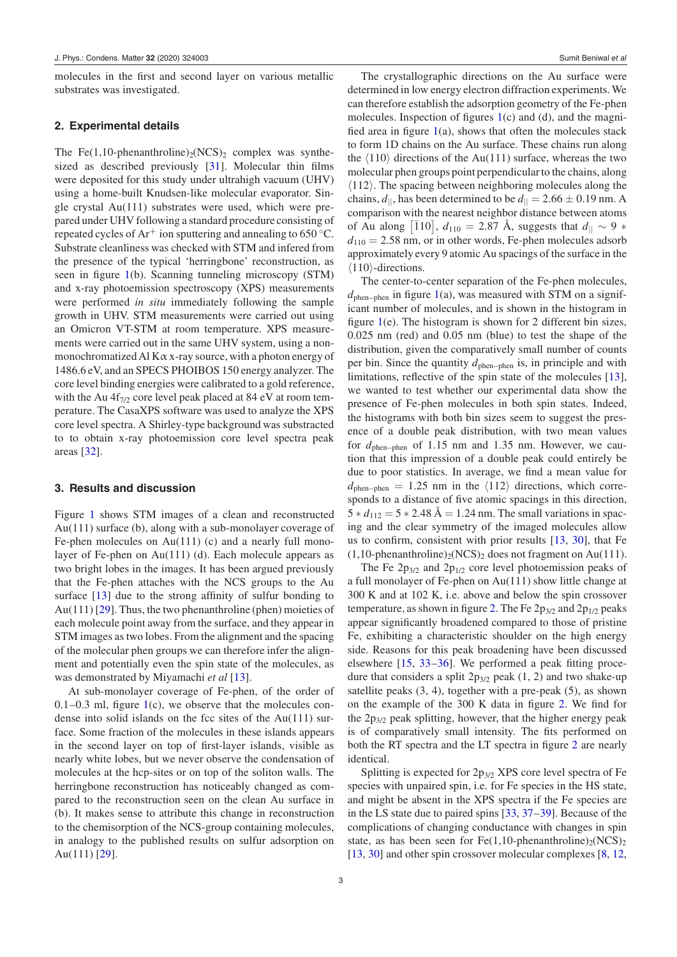molecules in the first and second layer on various metallic substrates was investigated.

#### **2. Experimental details**

The Fe(1,10-phenanthroline)<sub>2</sub>(NCS)<sub>2</sub> complex was synthe-sized as described previously [\[31\]](#page-6-11). Molecular thin films were deposited for this study under ultrahigh vacuum (UHV) using a home-built Knudsen-like molecular evaporator. Single crystal Au(111) substrates were used, which were prepared under UHV following a standard procedure consisting of repeated cycles of  $Ar^+$  ion sputtering and annealing to 650 °C. Substrate cleanliness was checked with STM and infered from the presence of the typical 'herringbone' reconstruction, as seen in figure  $1(b)$  $1(b)$ . Scanning tunneling microscopy (STM) and x-ray photoemission spectroscopy (XPS) measurements were performed *in situ* immediately following the sample growth in UHV. STM measurements were carried out using an Omicron VT-STM at room temperature. XPS measurements were carried out in the same UHV system, using a nonmonochromatized Al Kα x-ray source, with a photon energy of 1486.6 eV, and an SPECS PHOIBOS 150 energy analyzer. The core level binding energies were calibrated to a gold reference, with the Au  $4f_{7/2}$  core level peak placed at 84 eV at room temperature. The CasaXPS software was used to analyze the XPS core level spectra. A Shirley-type background was substracted to to obtain x-ray photoemission core level spectra peak areas [\[32\]](#page-6-12).

#### **3. Results and discussion**

Figure [1](#page-3-0) shows STM images of a clean and reconstructed Au(111) surface (b), along with a sub-monolayer coverage of Fe-phen molecules on Au(111) (c) and a nearly full monolayer of Fe-phen on Au(111) (d). Each molecule appears as two bright lobes in the images. It has been argued previously that the Fe-phen attaches with the NCS groups to the Au surface  $[13]$  due to the strong affinity of sulfur bonding to Au(111) [\[29\]](#page-6-9). Thus, the two phenanthroline (phen) moieties of each molecule point away from the surface, and they appear in STM images as two lobes. From the alignment and the spacing of the molecular phen groups we can therefore infer the alignment and potentially even the spin state of the molecules, as was demonstrated by Miyamachi *et al* [\[13\]](#page-5-8).

At sub-monolayer coverage of Fe-phen, of the order of  $0.1-0.3$  ml, figure [1\(](#page-3-0)c), we observe that the molecules condense into solid islands on the fcc sites of the Au(111) surface. Some fraction of the molecules in these islands appears in the second layer on top of first-layer islands, visible as nearly white lobes, but we never observe the condensation of molecules at the hcp-sites or on top of the soliton walls. The herringbone reconstruction has noticeably changed as compared to the reconstruction seen on the clean Au surface in (b). It makes sense to attribute this change in reconstruction to the chemisorption of the NCS-group containing molecules, in analogy to the published results on sulfur adsorption on Au(111) [\[29\]](#page-6-9).

The crystallographic directions on the Au surface were determined in low energy electron diffraction experiments. We can therefore establish the adsorption geometry of the Fe-phen molecules. Inspection of figures  $1(c)$  $1(c)$  and  $(d)$ , and the magnified area in figure  $1(a)$  $1(a)$ , shows that often the molecules stack to form 1D chains on the Au surface. These chains run along the  $\langle 110 \rangle$  directions of the Au(111) surface, whereas the two molecular phen groups point perpendicularto the chains, along  $\langle 112 \rangle$ . The spacing between neighboring molecules along the chains,  $d_{\parallel}$ , has been determined to be  $d_{\parallel} = 2.66 \pm 0.19$  nm. A comparison with the nearest neighbor distance between atoms of Au along  $\begin{bmatrix} 110 \end{bmatrix}$ ,  $d_{110} = 2.87$  Å, suggests that  $d_{\parallel} \sim 9$  ∗  $d_{110} = 2.58$  nm, or in other words, Fe-phen molecules adsorb approximately every 9 atomic Au spacings of the surface in the  $\langle 110 \rangle$ -directions.

The center-to-center separation of the Fe-phen molecules,  $d_{\text{phen}-\text{phen}}$  in figure [1\(](#page-3-0)a), was measured with STM on a significant number of molecules, and is shown in the histogram in figure  $1(e)$  $1(e)$ . The histogram is shown for 2 different bin sizes, 0.025 nm (red) and 0.05 nm (blue) to test the shape of the distribution, given the comparatively small number of counts per bin. Since the quantity  $d_{\text{phen-phen}}$  is, in principle and with limitations, reflective of the spin state of the molecules  $[13]$ , we wanted to test whether our experimental data show the presence of Fe-phen molecules in both spin states. Indeed, the histograms with both bin sizes seem to suggest the presence of a double peak distribution, with two mean values for  $d_{\text{phen-bhen}}$  of 1.15 nm and 1.35 nm. However, we caution that this impression of a double peak could entirely be due to poor statistics. In average, we find a mean value for  $d_{\text{phen-bhen}} = 1.25 \text{ nm}$  in the  $\langle 112 \rangle$  directions, which corresponds to a distance of five atomic spacings in this direction,  $5 * d_{112} = 5 * 2.48$  Å = 1.24 nm. The small variations in spacing and the clear symmetry of the imaged molecules allow us to confirm, consistent with prior results  $[13, 30]$  $[13, 30]$ , that Fe  $(1,10\text{-}phenanthroline)_{2}(NCS)_{2}$  does not fragment on Au(111).

The Fe  $2p_{3/2}$  and  $2p_{1/2}$  core level photoemission peaks of a full monolayer of Fe-phen on Au(111) show little change at 300 K and at 102 K, i.e. above and below the spin crossover temperature, as shown in figure [2.](#page-5-13) The Fe  $2p_{3/2}$  and  $2p_{1/2}$  peaks appear significantly broadened compared to those of pristine Fe, exhibiting a characteristic shoulder on the high energy side. Reasons for this peak broadening have been discussed elsewhere  $[15, 33-36]$  $[15, 33-36]$ . We performed a peak fitting procedure that considers a split  $2p_{3/2}$  peak (1, 2) and two shake-up satellite peaks (3, 4), together with a pre-peak (5), as shown on the example of the  $300 \text{ K}$  data in figure [2.](#page-5-13) We find for the  $2p_{3/2}$  peak splitting, however, that the higher energy peak is of comparatively small intensity. The fits performed on both the RT spectra and the LT spectra in figure [2](#page-5-13) are nearly identical.

Splitting is expected for 2p3/2 XPS core level spectra of Fe species with unpaired spin, i.e. for Fe species in the HS state, and might be absent in the XPS spectra if the Fe species are in the LS state due to paired spins [\[33,](#page-6-13) [37](#page-6-15)[–39\]](#page-6-16). Because of the complications of changing conductance with changes in spin state, as has been seen for Fe(1,10-phenanthroline)<sub>2</sub>(NCS)<sub>2</sub> [\[13,](#page-5-8) [30\]](#page-6-10) and other spin crossover molecular complexes [\[8,](#page-5-1) [12,](#page-5-7)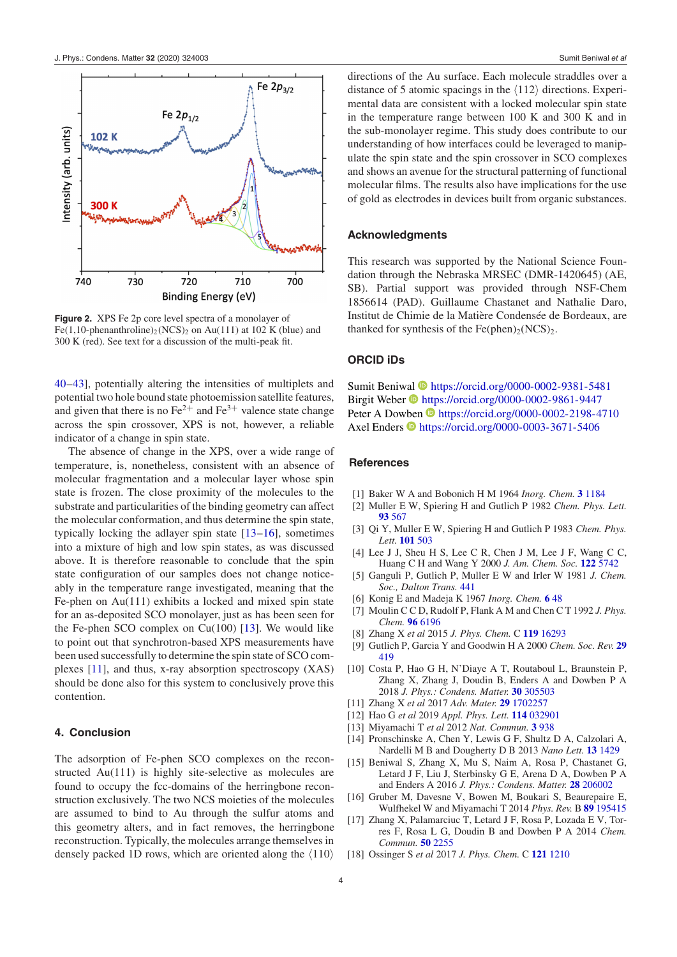<span id="page-5-13"></span>

**Figure 2.** XPS Fe 2p core level spectra of a monolayer of Fe(1,10-phenanthroline)<sub>2</sub> (NCS)<sub>2</sub> on Au(111) at 102 K (blue) and 300 K (red). See text for a discussion of the multi-peak fit.

[40](#page-6-17)[–43\]](#page-6-18), potentially altering the intensities of multiplets and potential two hole bound state photoemission satellite features, and given that there is no  $Fe^{2+}$  and  $Fe^{3+}$  valence state change across the spin crossover, XPS is not, however, a reliable indicator of a change in spin state.

The absence of change in the XPS, over a wide range of temperature, is, nonetheless, consistent with an absence of molecular fragmentation and a molecular layer whose spin state is frozen. The close proximity of the molecules to the substrate and particularities of the binding geometry can affect the molecular conformation, and thus determine the spin state, typically locking the adlayer spin state [\[13](#page-5-8)[–16\]](#page-5-9), sometimes into a mixture of high and low spin states, as was discussed above. It is therefore reasonable to conclude that the spin state configuration of our samples does not change noticeably in the temperature range investigated, meaning that the Fe-phen on Au(111) exhibits a locked and mixed spin state for an as-deposited SCO monolayer, just as has been seen for the Fe-phen SCO complex on  $Cu(100)$  [\[13\]](#page-5-8). We would like to point out that synchrotron-based XPS measurements have been used successfully to determine the spin state of SCO complexes [\[11\]](#page-5-6), and thus, x-ray absorption spectroscopy (XAS) should be done also for this system to conclusively prove this contention.

#### **4. Conclusion**

The adsorption of Fe-phen SCO complexes on the reconstructed Au(111) is highly site-selective as molecules are found to occupy the fcc-domains of the herringbone reconstruction exclusively. The two NCS moieties of the molecules are assumed to bind to Au through the sulfur atoms and this geometry alters, and in fact removes, the herringbone reconstruction. Typically, the molecules arrange themselves in densely packed 1D rows, which are oriented along the  $\langle 110 \rangle$  directions of the Au surface. Each molecule straddles over a distance of 5 atomic spacings in the  $\langle 112 \rangle$  directions. Experimental data are consistent with a locked molecular spin state in the temperature range between 100 K and 300 K and in the sub-monolayer regime. This study does contribute to our understanding of how interfaces could be leveraged to manipulate the spin state and the spin crossover in SCO complexes and shows an avenue for the structural patterning of functional molecular films. The results also have implications for the use of gold as electrodes in devices built from organic substances.

#### **Acknowledgments**

This research was supported by the National Science Foundation through the Nebraska MRSEC (DMR-1420645) (AE, SB). Partial support was provided through NSF-Chem 1856614 (PAD). Guillaume Chastanet and Nathalie Daro, Institut de Chimie de la Matière Condensée de Bordeaux, are thanked for synthesis of the Fe(phen)<sub>2</sub>(NCS)<sub>2</sub>.

#### **ORCID iDs**

Sumit Beniw[al](https://orcid.org/0000-0002-9861-9447) **<https://orcid.org/0000-0002-9381-5481>** Birgit Weber **<https://orcid.org/0000-0002-9861-9447>** Peter A Do[wben](https://orcid.org/0000-0003-3671-5406) **b** <https://orcid.org/0000-0002-2198-4710> Axel Enders <https://orcid.org/0000-0003-3671-5406>

#### **References**

- <span id="page-5-0"></span>[1] Baker W A and Bobonich H M 1964 *Inorg. Chem.* **[3](https://doi.org/10.1021/ic50018a027)** [1184](https://doi.org/10.1021/ic50018a027)
- <span id="page-5-2"></span>[2] Muller E W, Spiering H and Gutlich P 1982 *Chem. Phys. Lett.* **[93](https://doi.org/10.1016/0009-2614(82)83731-7)** [567](https://doi.org/10.1016/0009-2614(82)83731-7)
- <span id="page-5-4"></span>[3] Qi Y, Muller E W, Spiering H and Gutlich P 1983 *Chem. Phys. Lett.* **[101](https://doi.org/10.1016/0009-2614(83)87521-6)** [503](https://doi.org/10.1016/0009-2614(83)87521-6)
- [4] Lee J J, Sheu H S, Lee C R, Chen J M, Lee J F, Wang C C, Huang C H and Wang Y 2000 *J. Am. Chem. Soc.* **[122](https://doi.org/10.1021/ja9943290)** [5742](https://doi.org/10.1021/ja9943290)
- [5] Ganguli P, Gutlich P, Muller E W and Irler W 1981 *J. Chem. Soc., Dalton Trans.* [441](https://doi.org/10.1039/dt9810000441)
- [6] Konig E and Madeja K 1967 *Inorg. Chem.* **[6](https://doi.org/10.1021/ic50047a011)** [48](https://doi.org/10.1021/ic50047a011)
- [7] Moulin C C D, Rudolf P, Flank A M and Chen C T 1992 *J. Phys. Chem.* **[96](https://doi.org/10.1021/j100194a021)** [6196](https://doi.org/10.1021/j100194a021)
- <span id="page-5-1"></span>[8] Zhang X *et al* 2015 *J. Phys. Chem.* C **[119](https://doi.org/10.1021/acs.jpcc.5b02220)** [16293](https://doi.org/10.1021/acs.jpcc.5b02220)
- <span id="page-5-3"></span>[9] Gutlich P, Garcia Y and Goodwin H A 2000 *Chem. Soc. Rev.* **[29](https://doi.org/10.1039/b003504l)** [419](https://doi.org/10.1039/b003504l)
- <span id="page-5-5"></span>[10] Costa P, Hao G H, N'Diaye A T, Routaboul L, Braunstein P, Zhang X, Zhang J, Doudin B, Enders A and Dowben P A 2018 *J. Phys.: Condens. Matter.* **[30](https://doi.org/10.1088/1361-648x/aacd7e)** [305503](https://doi.org/10.1088/1361-648x/aacd7e)
- <span id="page-5-6"></span>[11] Zhang X *et al* 2017 *Adv. Mater.* **[29](https://doi.org/10.1002/adma.201702257)** [1702257](https://doi.org/10.1002/adma.201702257)
- <span id="page-5-7"></span>[12] Hao G *et al* 2019 *Appl. Phys. Lett.* **[114](https://doi.org/10.1063/1.5054909)** [032901](https://doi.org/10.1063/1.5054909)
- <span id="page-5-8"></span>[13] Miyamachi T *et al* 2012 *Nat. Commun.* **[3](https://doi.org/10.1038/ncomms1940)** [938](https://doi.org/10.1038/ncomms1940)
- [14] Pronschinske A, Chen Y, Lewis G F, Shultz D A, Calzolari A, Nardelli M B and Dougherty D B 2013 *Nano Lett.* **[13](https://doi.org/10.1021/nl304304e)** [1429](https://doi.org/10.1021/nl304304e)
- <span id="page-5-14"></span>[15] Beniwal S, Zhang X, Mu S, Naim A, Rosa P, Chastanet G, Letard J F, Liu J, Sterbinsky G E, Arena D A, Dowben P A and Enders A 2016 *J. Phys.: Condens. Matter.* **[28](https://doi.org/10.1088/0953-8984/28/20/206002)** [206002](https://doi.org/10.1088/0953-8984/28/20/206002)
- <span id="page-5-9"></span>[16] Gruber M, Davesne V, Bowen M, Boukari S, Beaurepaire E, Wulfhekel W and Miyamachi T 2014 *Phys. Rev.* B **[89](https://doi.org/10.1103/physrevb.89.195415)** [195415](https://doi.org/10.1103/physrevb.89.195415)
- <span id="page-5-10"></span>[17] Zhang X, Palamarciuc T, Letard J F, Rosa P, Lozada E V, Torres F, Rosa L G, Doudin B and Dowben P A 2014 *Chem. Commun.* **[50](https://doi.org/10.1039/c3cc46892e)** [2255](https://doi.org/10.1039/c3cc46892e)
- <span id="page-5-12"></span><span id="page-5-11"></span>[18] Ossinger S *et al* 2017 *J. Phys. Chem.* C **[121](https://doi.org/10.1021/acs.jpcc.6b10888)** [1210](https://doi.org/10.1021/acs.jpcc.6b10888)